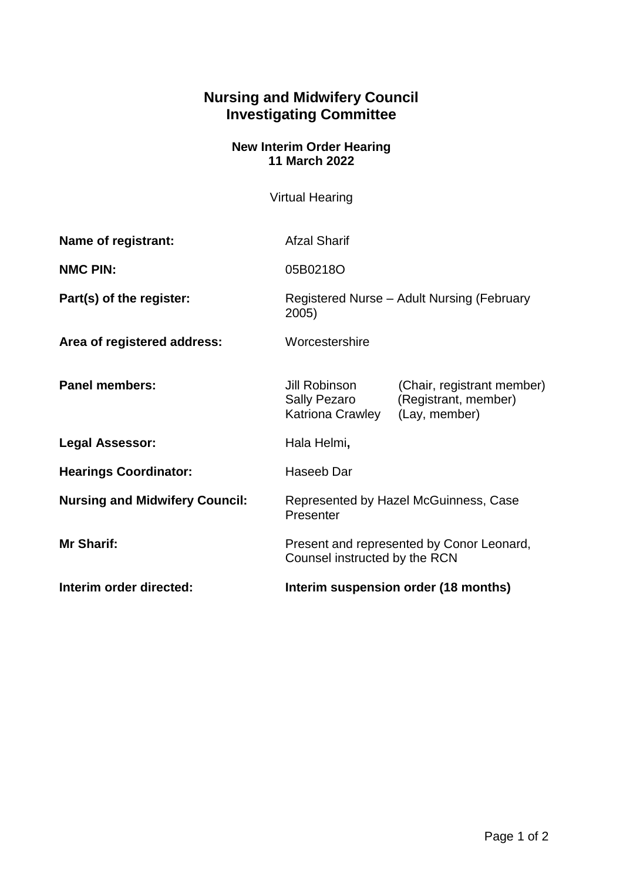## **Nursing and Midwifery Council Investigating Committee**

## **New Interim Order Hearing 11 March 2022**

Virtual Hearing

| Name of registrant:                   | <b>Afzal Sharif</b>                                                        |                                                                     |
|---------------------------------------|----------------------------------------------------------------------------|---------------------------------------------------------------------|
| <b>NMC PIN:</b>                       | 05B0218O                                                                   |                                                                     |
| Part(s) of the register:              | Registered Nurse – Adult Nursing (February<br>2005)                        |                                                                     |
| Area of registered address:           | Worcestershire                                                             |                                                                     |
| <b>Panel members:</b>                 | Jill Robinson<br>Sally Pezaro<br>Katriona Crawley                          | (Chair, registrant member)<br>(Registrant, member)<br>(Lay, member) |
| <b>Legal Assessor:</b>                | Hala Helmi,                                                                |                                                                     |
| <b>Hearings Coordinator:</b>          | Haseeb Dar                                                                 |                                                                     |
| <b>Nursing and Midwifery Council:</b> | Represented by Hazel McGuinness, Case<br>Presenter                         |                                                                     |
| <b>Mr Sharif:</b>                     | Present and represented by Conor Leonard,<br>Counsel instructed by the RCN |                                                                     |
| Interim order directed:               | Interim suspension order (18 months)                                       |                                                                     |